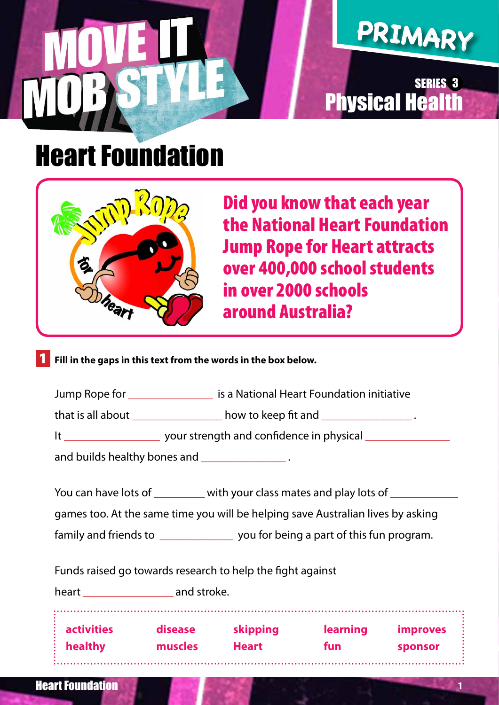# **PRIMARY**

### **Physical Healt** SERIES 3

### Heart Foundation



 Did you know that each year the National Heart Foundation Jump Rope for Heart attracts over 400,000 school students in over 2000 schools around Australia?

1 **Fill in the gaps in this text from the words in the box below.**

| Jump Rope for     | is a National Heart Foundation initiative |  |  |
|-------------------|-------------------------------------------|--|--|
| that is all about | how to keep fit and                       |  |  |

It \_\_\_\_\_\_\_\_\_\_\_\_\_\_\_\_\_\_\_\_\_\_\_ your strength and confidence in physical \_\_\_\_\_\_\_\_\_\_\_\_

and builds healthy bones and **with the same in the same in the same in the same in the same in the same in the s** 

You can have lots of \_\_\_\_\_\_\_\_\_ with your class mates and play lots of \_\_\_\_\_\_\_\_\_\_

games too. At the same time you will be helping save Australian lives by asking

family and friends to \_\_\_\_\_\_\_\_\_\_\_\_\_\_\_ you for being a part of this fun program.

Funds raised go towards research to help the fight against

heart **and stroke.** 

| $:$ activities   | disease | skipping     | <b>learning</b> | <i>improves</i> |
|------------------|---------|--------------|-----------------|-----------------|
| $\vdots$ healthy | muscles | <b>Heart</b> | fun             | sponsor         |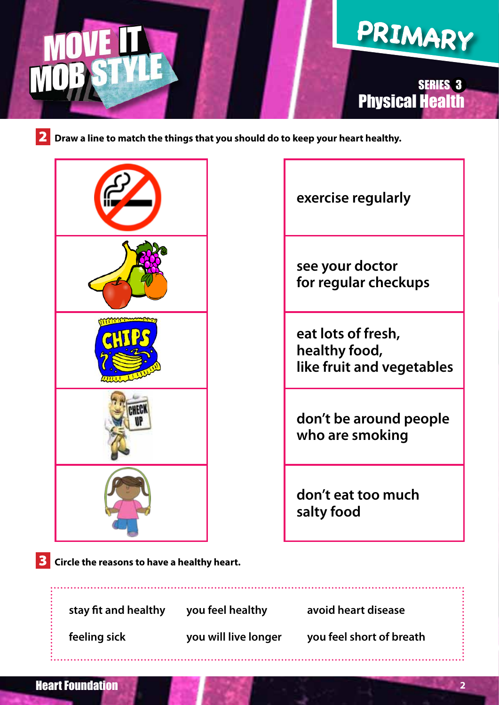

#### Physical Health SERIES 3

**2** Draw a line to match the things that you should do to keep your heart healthy.





**don't eat too much salty food**

**3** Circle the reasons to have a healthy heart.

 **stay fit and healthy you feel healthy avoid heart disease** 

 **feeling sick you will live longer you feel short of breath**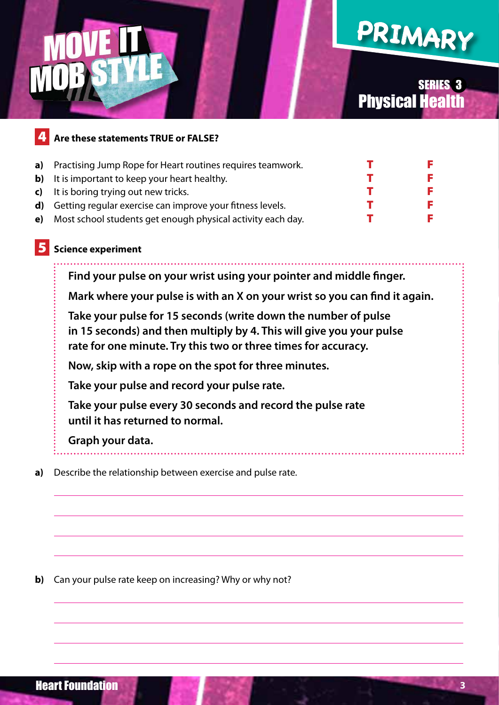## **PRIMARY**

#### Physical Health SERIES 3

### 4 **Are these statements TRUE or FALSE? a**) Practising Jump Rope for Heart routines requires teamwork. T **b**) It is important to keep your heart healthy. **c**) It is boring trying out new tricks. **d**) Getting regular exercise can improve your fitness levels. **e**) Most school students get enough physical activity each day. T 5 **Science experiment Find your pulse on your wrist using your pointer and middle finger. Mark where your pulse is with an X on your wrist so you can find it again. Take your pulse for 15 seconds (write down the number of pulse in 15 seconds) and then multiply by 4. This will give you your pulse rate for one minute. Try this two or three times for accuracy. Now, skip with a rope on the spot for three minutes.**

 **Take your pulse and record your pulse rate.**

 **Take your pulse every 30 seconds and record the pulse rate until it has returned to normal.**

#### **Graph your data.**

**a)** Describe the relationship between exercise and pulse rate.

**b**) Can your pulse rate keep on increasing? Why or why not?